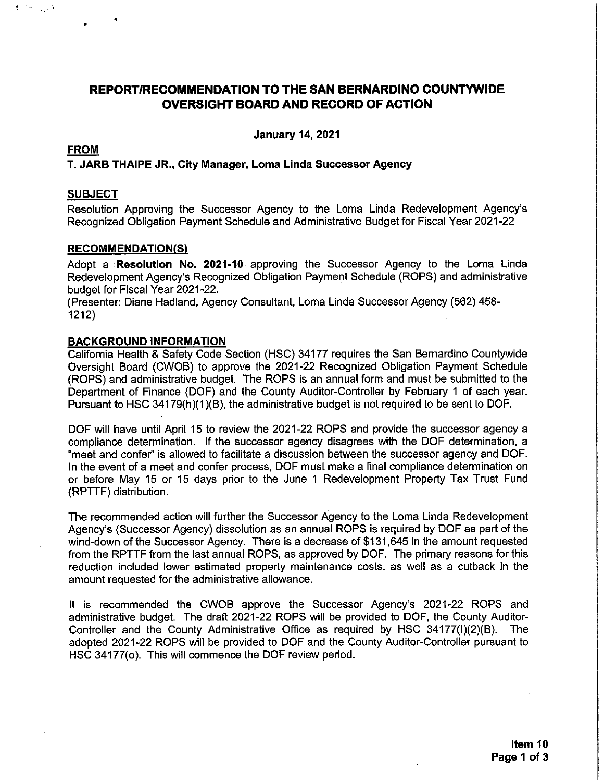# REPORT/RECOMMENDATION TO THE SAN BERNARDINO COUNTYWIDE **OVERSIGHT BOARD AND RECORD OF ACTION**

**January 14, 2021** 

## **FROM**

女 (一) 言葉

#### T. JARB THAIPE JR., City Manager, Loma Linda Successor Agency

#### **SUBJECT**

Resolution Approving the Successor Agency to the Loma Linda Redevelopment Agency's Recognized Obligation Payment Schedule and Administrative Budget for Fiscal Year 2021-22

#### **RECOMMENDATION(S)**

Adopt a Resolution No. 2021-10 approving the Successor Agency to the Loma Linda Redevelopment Agency's Recognized Obligation Payment Schedule (ROPS) and administrative budget for Fiscal Year 2021-22.

(Presenter: Diane Hadland, Agency Consultant, Loma Linda Successor Agency (562) 458- $1212)$ 

#### **BACKGROUND INFORMATION**

California Health & Safety Code Section (HSC) 34177 requires the San Bernardino Countywide Oversight Board (CWOB) to approve the 2021-22 Recognized Obligation Payment Schedule (ROPS) and administrative budget. The ROPS is an annual form and must be submitted to the Department of Finance (DOF) and the County Auditor-Controller by February 1 of each year. Pursuant to HSC 34179(h)(1)(B), the administrative budget is not required to be sent to DOF.

DOF will have until April 15 to review the 2021-22 ROPS and provide the successor agency a compliance determination. If the successor agency disagrees with the DOF determination, a "meet and confer" is allowed to facilitate a discussion between the successor agency and DOF. In the event of a meet and confer process, DOF must make a final compliance determination on or before May 15 or 15 days prior to the June 1 Redevelopment Property Tax Trust Fund (RPTTF) distribution.

The recommended action will further the Successor Agency to the Loma Linda Redevelopment Agency's (Successor Agency) dissolution as an annual ROPS is required by DOF as part of the wind-down of the Successor Agency. There is a decrease of \$131,645 in the amount requested from the RPTTF from the last annual ROPS, as approved by DOF. The primary reasons for this reduction included lower estimated property maintenance costs, as well as a cutback in the amount requested for the administrative allowance.

It is recommended the CWOB approve the Successor Agency's 2021-22 ROPS and administrative budget. The draft 2021-22 ROPS will be provided to DOF, the County Auditor-Controller and the County Administrative Office as required by HSC 34177(I)(2)(B). The adopted 2021-22 ROPS will be provided to DOF and the County Auditor-Controller pursuant to HSC 34177(o). This will commence the DOF review period.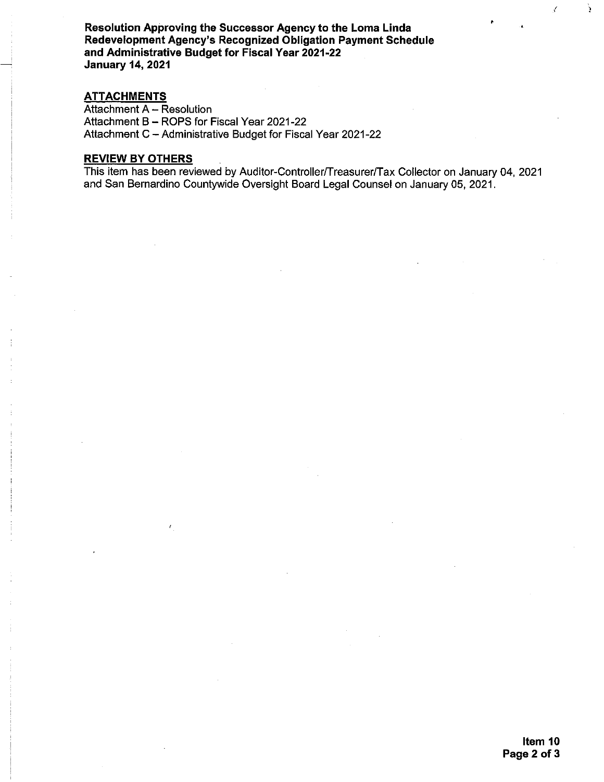Resolution Approving the Successor Agency to the Loma Linda Redevelopment Agency's Recognized Obligation Payment Schedule and Administrative Budget for Fiscal Year 2021-22 **January 14, 2021** 

## **ATTACHMENTS**

Attachment A - Resolution Attachment B - ROPS for Fiscal Year 2021-22 Attachment C - Administrative Budget for Fiscal Year 2021-22

# **REVIEW BY OTHERS**

This item has been reviewed by Auditor-Controller/Treasurer/Tax Collector on January 04, 2021 and San Bernardino Countywide Oversight Board Legal Counsel on January 05, 2021.

ÿ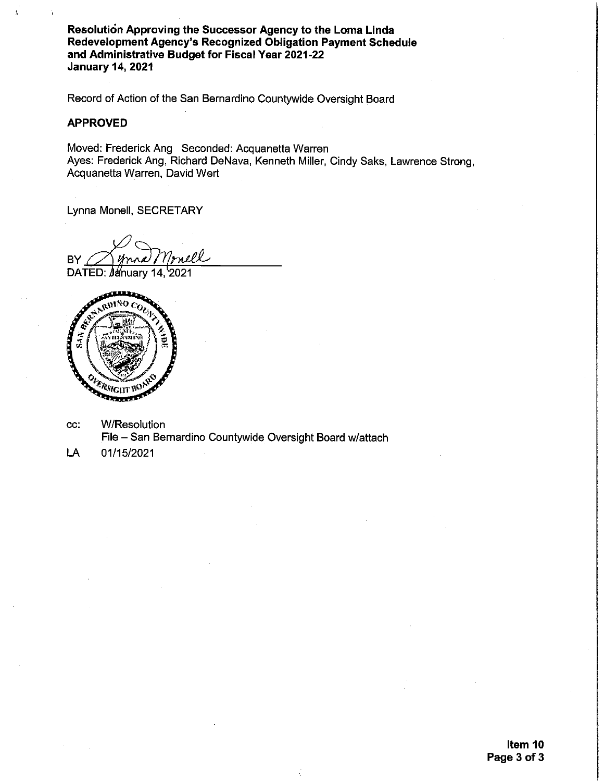Resolution Approving the Successor Agency to the Loma Linda Redevelopment Agency's Recognized Obligation Payment Schedule and Administrative Budget for Fiscal Year 2021-22 **January 14, 2021** 

Record of Action of the San Bernardino Countywide Oversight Board

#### **APPROVED**

Moved: Frederick Ang Seconded: Acquanetta Warren Ayes: Frederick Ang, Richard DeNava, Kenneth Miller, Cindy Saks, Lawrence Strong, Acquanetta Warren, David Wert

Lynna Monell, SECRETARY

**BY** 

DATED: *M*inuary 14, 2021



- **W/Resolution** CC: File - San Bernardino Countywide Oversight Board w/attach
- LA 01/15/2021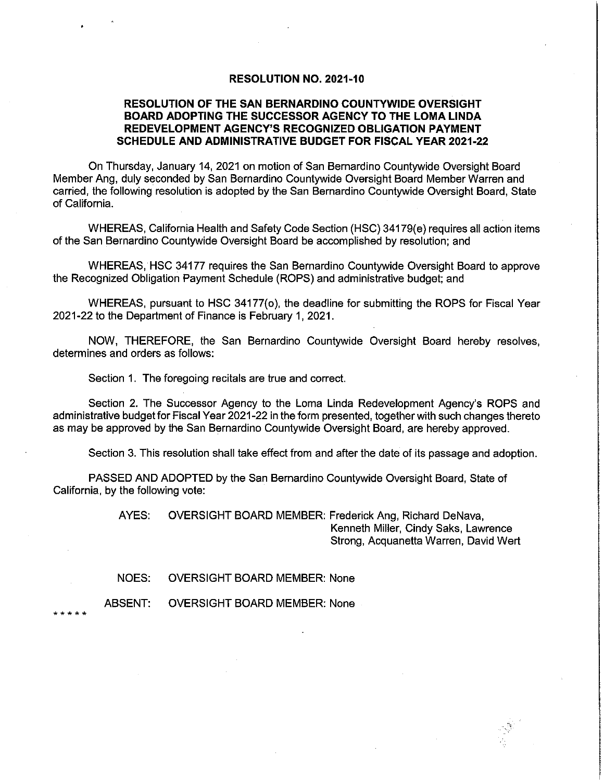### **RESOLUTION NO. 2021-10**

## RESOLUTION OF THE SAN BERNARDINO COUNTYWIDE OVERSIGHT BOARD ADOPTING THE SUCCESSOR AGENCY TO THE LOMA LINDA REDEVELOPMENT AGENCY'S RECOGNIZED OBLIGATION PAYMENT SCHEDULE AND ADMINISTRATIVE BUDGET FOR FISCAL YEAR 2021-22

On Thursday, January 14, 2021 on motion of San Bernardino Countywide Oversight Board Member Ang, duly seconded by San Bernardino Countywide Oversight Board Member Warren and carried, the following resolution is adopted by the San Bernardino Countywide Oversight Board, State of California.

WHEREAS, California Health and Safety Code Section (HSC) 34179(e) requires all action items of the San Bernardino Countywide Oversight Board be accomplished by resolution; and

WHEREAS, HSC 34177 requires the San Bernardino Countywide Oversight Board to approve the Recognized Obligation Payment Schedule (ROPS) and administrative budget; and

WHEREAS, pursuant to HSC 34177(o), the deadline for submitting the ROPS for Fiscal Year 2021-22 to the Department of Finance is February 1, 2021.

NOW, THEREFORE, the San Bernardino Countywide Oversight Board hereby resolves, determines and orders as follows:

Section 1. The foregoing recitals are true and correct.

Section 2. The Successor Agency to the Loma Linda Redevelopment Agency's ROPS and administrative budget for Fiscal Year 2021-22 in the form presented, together with such changes thereto as may be approved by the San Bernardino Countywide Oversight Board, are hereby approved.

Section 3. This resolution shall take effect from and after the date of its passage and adoption.

PASSED AND ADOPTED by the San Bernardino Countywide Oversight Board, State of California, by the following vote:

> AYES: OVERSIGHT BOARD MEMBER: Frederick Ang, Richard DeNava, Kenneth Miller, Cindy Saks, Lawrence Strong, Acquanetta Warren, David Wert

**OVERSIGHT BOARD MEMBER: None** NOES:

ABSENT: **OVERSIGHT BOARD MEMBER: None**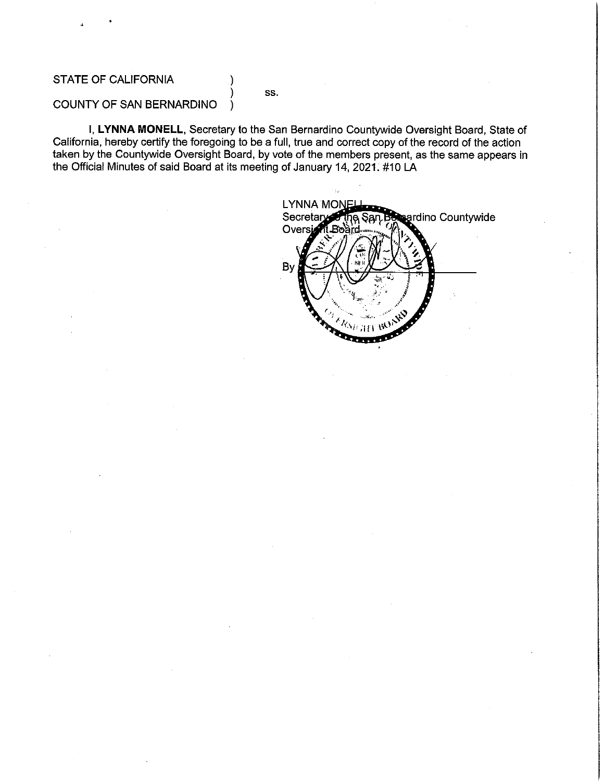# **STATE OF CALIFORNIA**

SS.

#### COUNTY OF SAN BERNARDINO  $\lambda$

I, LYNNA MONELL, Secretary to the San Bernardino Countywide Oversight Board, State of California, hereby certify the foregoing to be a full, true and correct copy of the record of the action taken by the Countywide Oversight Board, by vote of the members present, as the same appears in the Official Minutes of said Board at its meeting of January 14, 2021. #10 LA

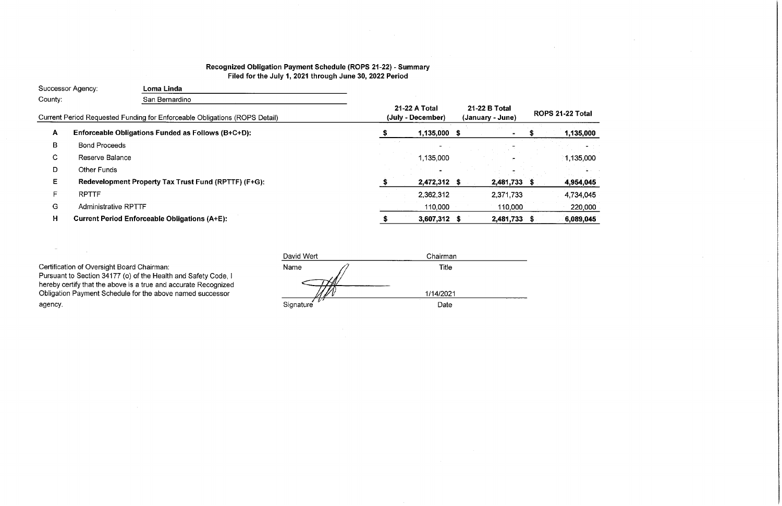# Recognized Obligation Payment Schedule (ROPS 21-22) - Summary Filed for the July 1, 2021 through June 30, 2022 Period

| <b>Successor Agency:</b> |                             | Loma Linda                                                                 |                                    |              |  |                                   |                  |           |  |
|--------------------------|-----------------------------|----------------------------------------------------------------------------|------------------------------------|--------------|--|-----------------------------------|------------------|-----------|--|
| County:                  |                             | San Bernardino                                                             |                                    |              |  |                                   |                  |           |  |
|                          |                             | Current Period Requested Funding for Enforceable Obligations (ROPS Detail) | 21-22 A Total<br>(July - December) |              |  | 21-22 B Total<br>(January - June) | ROPS 21-22 Total |           |  |
| A                        |                             | Enforceable Obligations Funded as Follows (B+C+D):                         |                                    | 1,135,000 \$ |  |                                   |                  | 1,135,000 |  |
| B                        | <b>Bond Proceeds</b>        |                                                                            |                                    |              |  |                                   |                  |           |  |
| C.                       | Reserve Balance             |                                                                            |                                    | 1.135,000    |  |                                   |                  | 1,135,000 |  |
| D                        | <b>Other Funds</b>          |                                                                            |                                    |              |  |                                   |                  |           |  |
| E.                       |                             | Redevelopment Property Tax Trust Fund (RPTTF) (F+G):                       |                                    | 2,472,312 \$ |  | 2,481,733                         | - 35             | 4,954,045 |  |
| F.                       | <b>RPTTF</b>                |                                                                            |                                    | 2,362,312    |  | 2,371,733                         |                  | 4,734,045 |  |
| G                        | <b>Administrative RPTTF</b> |                                                                            |                                    | 110,000      |  | 110,000                           |                  | 220,000   |  |
| Н                        |                             | <b>Current Period Enforceable Obligations (A+E):</b>                       |                                    | 3,607,312 \$ |  | 2,481,733 \$                      |                  | 6,089,045 |  |

Certification of Oversight Board Chairman:<br>Pursuant to Section 34177 (o) of the Health and Safety Code, I<br>hereby certify that the above is a true and accurate Recognized<br>Obligation Payment Schedule for the above named succ agency.

 $\sim$ 

 $\sim 10^{11}$  km s  $^{-1}$ 

| David Wert         | Chairman  |  |  |  |  |
|--------------------|-----------|--|--|--|--|
| Name               | Title     |  |  |  |  |
|                    | 1/14/2021 |  |  |  |  |
| - 172<br>Signature | Date      |  |  |  |  |

 $\sim$ 

 $\sim$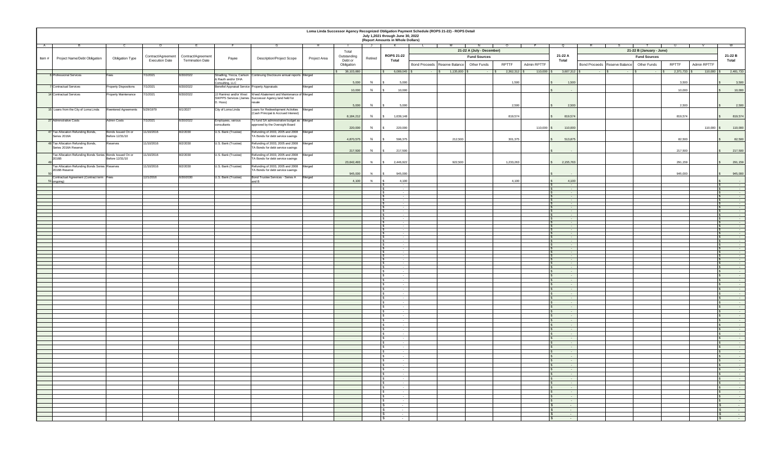|                                                          |                              |                       |                                         |                                                                   |                                                                       |              |                       |         | July 1,2021 through June 30, 2022 | Loma Linda Successor Agency Recognized Obligation Payment Schedule (ROPS 21-22) - ROPS Detail |              |             |                                                |                                                                       |              |                              |
|----------------------------------------------------------|------------------------------|-----------------------|-----------------------------------------|-------------------------------------------------------------------|-----------------------------------------------------------------------|--------------|-----------------------|---------|-----------------------------------|-----------------------------------------------------------------------------------------------|--------------|-------------|------------------------------------------------|-----------------------------------------------------------------------|--------------|------------------------------|
|                                                          |                              |                       |                                         |                                                                   |                                                                       |              |                       |         | (Report Amounts in Whole Dollars) |                                                                                               |              |             |                                                |                                                                       |              |                              |
| A —                                                      |                              |                       |                                         |                                                                   |                                                                       |              |                       | J J     | <b>K</b>                          |                                                                                               |              |             |                                                |                                                                       |              |                              |
|                                                          |                              |                       |                                         |                                                                   |                                                                       |              | Total                 |         |                                   | 21-22 A (July - December)                                                                     |              |             | 21-22 B (January - June)                       |                                                                       |              |                              |
| <b>Project Name/Debt Obligation</b><br>Item #            | <b>Obligation Type</b>       |                       | Contract/Agreement   Contract/Agreement | Payee                                                             | <b>Description/Project Scope</b>                                      | Project Area | Outstanding           | Retired | <b>ROPS 21-22</b>                 | <b>Fund Sources</b>                                                                           |              |             | 21-22 A                                        | <b>Fund Sources</b>                                                   | 21-22 B      |                              |
|                                                          |                              | <b>Execution Date</b> | <b>Termination Date</b>                 |                                                                   |                                                                       |              | Debt or<br>Obligation |         | Total                             | <b>Other Funds</b><br>Bond Proceeds   Reserve Balance                                         | <b>RPTTF</b> | Admin RPTTF | <b>Total</b>                                   | <b>RPTTF</b><br><b>Other Funds</b><br>Bond Proceeds   Reserve Balance | Admin RPTTF  | <b>Total</b>                 |
|                                                          |                              |                       |                                         |                                                                   |                                                                       |              | 38,103,880            |         | $6,089,045$ \$                    | 1,135,000                                                                                     | 2,362,312    | 110,000     | $3,607,312$ \$                                 | 2,371,733                                                             | $110,000$ \$ | 2,481,733                    |
| 6 Professional Services                                  | Fees                         | 7/1/2021              | 6/30/2022                               |                                                                   | Stradling, Yocca, Carlson Continuing Disclosure annual reports Merged |              |                       |         |                                   | $\sim 1000$ m $^{-1}$<br>$\sim$ $-$                                                           |              |             |                                                | <b>Contract Contract</b><br><b>Service</b>                            |              |                              |
|                                                          |                              |                       |                                         | & Rauth and/or DHA                                                |                                                                       |              | 5,000                 | N       | 5,000                             |                                                                                               | 1,500        |             | 1,500                                          | 3,500                                                                 |              | 3,500                        |
| 7 Contractual Services                                   | <b>Property Dispositions</b> | 7/1/2021              | 6/30/2022                               | Consulting, LLC<br>Benefiel Appraisal Service Property Appraisals |                                                                       | Merged       |                       |         |                                   |                                                                                               |              |             |                                                |                                                                       |              |                              |
|                                                          |                              | 7/1/2021              | 6/30/2022                               |                                                                   | JJ Ramirez and/or West Weed Abatement and Maintenance of Merged       |              | 10,000                | - IN    | 10,000                            |                                                                                               |              |             | $\sim$                                         | 10,000                                                                |              | 10,000                       |
| 14 Contractual Services                                  | <b>Property Maintenance</b>  |                       |                                         |                                                                   | SWPPS Services (James Successor Agency land held for                  |              |                       |         |                                   |                                                                                               |              |             |                                                |                                                                       |              |                              |
|                                                          |                              |                       |                                         | D. Huss)                                                          |                                                                       |              | 5,000                 | - N     | 5,000                             |                                                                                               | 2,500        |             | 2,500                                          | 2,500                                                                 |              | 2,500                        |
| 15 Loans from the City of Loma Linda                     | Reentered Agreements         | 5/29/1979             | 6/1/2027                                | City of Loma Linda                                                | Loans for Redevelopment Activities Merged                             |              |                       |         |                                   |                                                                                               |              |             |                                                |                                                                       |              |                              |
|                                                          |                              |                       |                                         |                                                                   | (Cash Principal & Accrued Interest)                                   |              | 8,184,212             |         | 1,639,148                         |                                                                                               | 819,574      |             | 819,574                                        | 819,574                                                               |              | 819,574                      |
| 27 Adminstrative Costs                                   | <b>Admin Costs</b>           | 7/1/2021              | 6/30/2022                               | Employees, various                                                | To fund SA administrative budget as Merged                            |              |                       |         |                                   |                                                                                               |              |             |                                                |                                                                       |              |                              |
|                                                          |                              |                       |                                         | consultants                                                       | approved by the Oversight Board                                       |              | 220,000               | - N     | 220,000                           |                                                                                               |              | 110,000     | 110,000                                        |                                                                       | $110,000$ \$ | 110,000                      |
| 47 Tax Allocation Refunding Bonds,                       | Bonds Issued On or           | 11/10/2016            | 8/2/2030                                | U.S. Bank (Trustee)                                               | Refunding of 2003, 2005 and 2008 Merged                               |              |                       |         |                                   |                                                                                               |              |             |                                                |                                                                       |              |                              |
| Series 2016A                                             | Before 12/31/10              |                       |                                         |                                                                   | TA Bonds for debt service savings                                     |              | 4,870,575             | - N     | 596,375                           | 212,500                                                                                       | 301,375      |             | 513,875                                        | 82,500                                                                |              | 82,500                       |
| 48 Tax Allocation Refunding Bonds,                       | Reserves                     | 11/10/2016            | 8/2/2030                                | U.S. Bank (Trustee)                                               | Refunding of 2003, 2005 and 2008 Merged                               |              |                       |         |                                   |                                                                                               |              |             |                                                |                                                                       |              |                              |
| Series 2016A Reserve                                     |                              |                       |                                         |                                                                   | TA Bonds for debt service savings                                     |              | 217,500               | - N     | 217,500                           |                                                                                               |              |             |                                                | 217,500                                                               |              | 217,500                      |
| Tax Allocation Refunding Bonds Series Bonds Issued On or |                              | 11/10/2016            | 8/2/2030                                | U.S. Bank (Trustee)                                               | Refunding of 2003, 2005 and 2008 Merged                               |              |                       |         |                                   |                                                                                               |              |             |                                                |                                                                       |              |                              |
| 2016B                                                    | Before 12/31/10              |                       |                                         |                                                                   | TA Bonds for debt service savings                                     |              | 23,642,493            |         | 2,446,922                         | 922,500                                                                                       | 1,233,263    |             | 2,155,763                                      | 291,159                                                               |              | 291,159                      |
| Tax Allocation Refunding Bonds Series Reserves           |                              | 11/10/2016            | 8/2/2030                                | U.S. Bank (Trustee)                                               | Refunding of 2003, 2005 and 2008 Merged                               |              |                       |         |                                   |                                                                                               |              |             |                                                |                                                                       |              |                              |
| 2016B Reserve                                            |                              |                       |                                         |                                                                   | TA Bonds for debt service savings                                     |              | 945,000               |         | 945,000                           |                                                                                               |              |             |                                                | 945,000                                                               |              | 945,000                      |
| Contractual Agreement (Contract term   Fees              |                              | 12/1/2016             | 6/30/2030                               | U.S. Bank (Trustee)                                               | Bond Trustee Services - Series A Merged                               |              |                       |         |                                   |                                                                                               |              |             |                                                |                                                                       |              |                              |
| 51 ongoing)                                              |                              |                       |                                         |                                                                   |                                                                       |              | 4,100                 |         | 4,100                             |                                                                                               | 4,100        |             | 4,100                                          |                                                                       |              |                              |
|                                                          |                              |                       |                                         |                                                                   |                                                                       |              |                       |         |                                   |                                                                                               |              |             |                                                |                                                                       |              |                              |
|                                                          |                              |                       |                                         |                                                                   |                                                                       |              |                       |         |                                   |                                                                                               |              |             |                                                |                                                                       |              |                              |
|                                                          |                              |                       |                                         |                                                                   |                                                                       |              |                       |         | $\sim$ $\sim$                     |                                                                                               |              |             |                                                |                                                                       |              |                              |
|                                                          |                              |                       |                                         |                                                                   |                                                                       |              |                       |         |                                   |                                                                                               |              |             |                                                |                                                                       |              |                              |
|                                                          |                              |                       |                                         |                                                                   |                                                                       |              |                       |         |                                   |                                                                                               |              |             |                                                |                                                                       |              |                              |
|                                                          |                              |                       |                                         |                                                                   |                                                                       |              |                       |         |                                   |                                                                                               |              |             |                                                |                                                                       |              |                              |
|                                                          |                              |                       |                                         |                                                                   |                                                                       |              |                       |         |                                   |                                                                                               |              |             |                                                |                                                                       |              |                              |
|                                                          |                              |                       |                                         |                                                                   |                                                                       |              |                       |         | $\sim$ $\sim$                     |                                                                                               |              |             |                                                |                                                                       |              |                              |
|                                                          |                              |                       |                                         |                                                                   |                                                                       |              |                       |         |                                   |                                                                                               |              |             |                                                |                                                                       |              |                              |
|                                                          |                              |                       |                                         |                                                                   |                                                                       |              |                       |         | $\sim$                            |                                                                                               |              |             |                                                |                                                                       |              |                              |
|                                                          |                              |                       |                                         |                                                                   |                                                                       |              |                       |         |                                   |                                                                                               |              |             |                                                |                                                                       |              |                              |
|                                                          |                              |                       |                                         |                                                                   |                                                                       |              |                       |         |                                   |                                                                                               |              |             |                                                |                                                                       |              |                              |
|                                                          |                              |                       |                                         |                                                                   |                                                                       |              |                       |         |                                   |                                                                                               |              |             |                                                |                                                                       |              |                              |
|                                                          |                              |                       |                                         |                                                                   |                                                                       |              |                       |         | $\sim$                            |                                                                                               |              |             |                                                |                                                                       |              |                              |
|                                                          |                              |                       |                                         |                                                                   |                                                                       |              |                       |         |                                   |                                                                                               |              |             |                                                |                                                                       |              |                              |
|                                                          |                              |                       |                                         |                                                                   |                                                                       |              |                       |         |                                   |                                                                                               |              |             |                                                |                                                                       |              |                              |
|                                                          |                              |                       |                                         |                                                                   |                                                                       |              |                       |         |                                   |                                                                                               |              |             | $\sim$ 100 $\pm$                               |                                                                       |              |                              |
|                                                          |                              |                       |                                         |                                                                   |                                                                       |              |                       |         |                                   |                                                                                               |              |             |                                                |                                                                       |              |                              |
|                                                          |                              |                       |                                         |                                                                   |                                                                       |              |                       |         |                                   |                                                                                               |              |             |                                                |                                                                       |              |                              |
|                                                          |                              |                       |                                         |                                                                   |                                                                       |              |                       |         |                                   |                                                                                               |              |             |                                                |                                                                       |              |                              |
|                                                          |                              |                       |                                         |                                                                   |                                                                       |              |                       |         |                                   |                                                                                               |              |             |                                                |                                                                       |              |                              |
|                                                          |                              |                       |                                         |                                                                   |                                                                       |              |                       |         |                                   |                                                                                               |              |             |                                                |                                                                       |              | $\sim 100$ m $^{-1}$         |
|                                                          |                              |                       |                                         |                                                                   |                                                                       |              |                       |         | $\sim$ $\sim$                     |                                                                                               |              |             | <b>Contract Contract</b>                       |                                                                       |              |                              |
|                                                          |                              |                       |                                         |                                                                   |                                                                       |              |                       |         |                                   |                                                                                               |              |             | <b>Contract Contract</b>                       |                                                                       |              |                              |
|                                                          |                              |                       |                                         |                                                                   |                                                                       |              |                       |         |                                   |                                                                                               |              |             | $\sim 100$ m $^{-1}$                           |                                                                       |              |                              |
|                                                          |                              |                       |                                         |                                                                   |                                                                       |              |                       |         |                                   |                                                                                               |              |             | <b>Service</b>                                 |                                                                       |              |                              |
|                                                          |                              |                       |                                         |                                                                   |                                                                       |              |                       |         | $\sim$ $\sim$                     |                                                                                               |              |             | <b>Service</b><br>$\sim 100$ m $^{-1}$         |                                                                       |              | $\sim 100$ m $^{-1}$         |
|                                                          |                              |                       |                                         |                                                                   |                                                                       |              |                       |         |                                   |                                                                                               |              |             | $\sim 100$ m $^{-1}$                           |                                                                       |              |                              |
|                                                          |                              |                       |                                         |                                                                   |                                                                       |              |                       |         |                                   |                                                                                               |              |             | $\sim 100$ m $^{-1}$                           |                                                                       |              |                              |
|                                                          |                              |                       |                                         |                                                                   |                                                                       |              |                       |         | $\sim$ $\sim$                     |                                                                                               |              |             | <b>Contract Contract</b><br><b>State State</b> |                                                                       |              | $\sim 100$ m $^{-1}$         |
|                                                          |                              |                       |                                         |                                                                   |                                                                       |              |                       |         |                                   |                                                                                               |              |             | $\sim$ 100 $\pm$                               |                                                                       |              | $\sim 100$ m $^{-1}$         |
|                                                          |                              |                       |                                         |                                                                   |                                                                       |              |                       |         |                                   |                                                                                               |              |             | $\sim 100$ m $^{-1}$                           |                                                                       |              |                              |
|                                                          |                              |                       |                                         |                                                                   |                                                                       |              |                       |         |                                   |                                                                                               |              |             | <b>Contract Contract</b>                       |                                                                       |              |                              |
|                                                          |                              |                       |                                         |                                                                   |                                                                       |              |                       |         |                                   |                                                                                               |              |             | <b>Service</b><br><b>Contract Contract</b>     |                                                                       |              |                              |
|                                                          |                              |                       |                                         |                                                                   |                                                                       |              |                       |         |                                   |                                                                                               |              |             | $\sim$ $-$                                     |                                                                       |              |                              |
|                                                          |                              |                       |                                         |                                                                   |                                                                       |              |                       |         |                                   |                                                                                               |              |             | $\sim 100$ m $^{-1}$                           |                                                                       |              |                              |
|                                                          |                              |                       |                                         |                                                                   |                                                                       |              |                       |         |                                   |                                                                                               |              |             | <b>Service</b><br>$\sim 100$ m $^{-1}$         |                                                                       |              |                              |
|                                                          |                              |                       |                                         |                                                                   |                                                                       |              |                       |         | $\sim$                            |                                                                                               |              |             | <b>State State</b>                             |                                                                       |              | <b>Contract Contract</b>     |
|                                                          |                              |                       |                                         |                                                                   |                                                                       |              |                       |         |                                   |                                                                                               |              |             | $\sim$ 100 $\sim$                              |                                                                       |              | <b>Service</b>               |
|                                                          |                              |                       |                                         |                                                                   |                                                                       |              |                       |         | $\sim$ $-$                        |                                                                                               |              |             | <b>State State</b>                             |                                                                       |              | <b>Contract Contract</b>     |
|                                                          |                              |                       |                                         |                                                                   |                                                                       |              |                       |         | $\sim 100$ m $^{-1}$              |                                                                                               |              |             | <b>Contract Contract</b>                       |                                                                       |              | $\sim$ 100 $\sim$ 100 $\sim$ |

| Loma Linda Successor Agency Recognized Obligation Payment Schedule (ROPS 21-22) - ROPS Detail |
|-----------------------------------------------------------------------------------------------|
| July 1,2021 through June 30, 2022                                                             |
| Ranort Amounts in Whole Dollars)                                                              |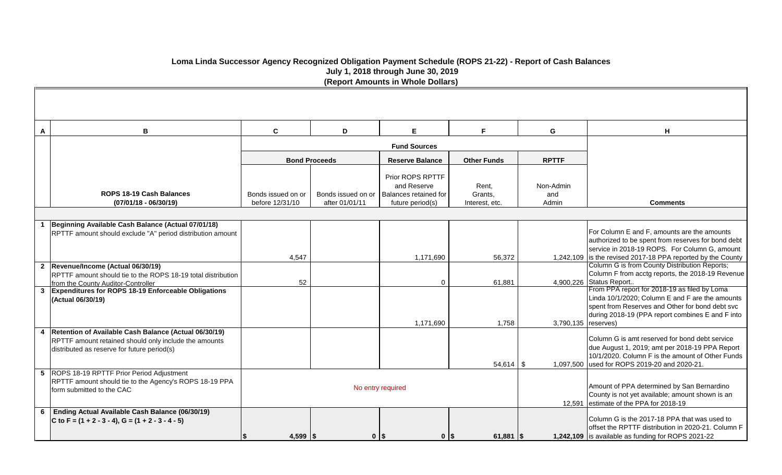| A              | В                                                                                                                                                             | $\mathbf{C}$                          | E<br>D                               |                                                                              | F.                                 | G                         |                                                                                                                  |
|----------------|---------------------------------------------------------------------------------------------------------------------------------------------------------------|---------------------------------------|--------------------------------------|------------------------------------------------------------------------------|------------------------------------|---------------------------|------------------------------------------------------------------------------------------------------------------|
|                |                                                                                                                                                               |                                       |                                      | <b>Fund Sources</b>                                                          |                                    |                           |                                                                                                                  |
|                |                                                                                                                                                               |                                       | <b>Bond Proceeds</b>                 | <b>Reserve Balance</b>                                                       | <b>Other Funds</b>                 | <b>RPTTF</b>              |                                                                                                                  |
|                | ROPS 18-19 Cash Balances<br>$(07/01/18 - 06/30/19)$                                                                                                           | Bonds issued on or<br>before 12/31/10 | Bonds issued on or<br>after 01/01/11 | Prior ROPS RPTTF<br>and Reserve<br>Balances retained for<br>future period(s) | Rent,<br>Grants,<br>Interest, etc. | Non-Admin<br>and<br>Admin | Comn                                                                                                             |
|                |                                                                                                                                                               |                                       |                                      |                                                                              |                                    |                           |                                                                                                                  |
|                | Beginning Available Cash Balance (Actual 07/01/18)<br>RPTTF amount should exclude "A" period distribution amount                                              |                                       |                                      |                                                                              |                                    |                           | For Column E and F, amou<br>authorized to be spent fron<br>service in 2018-19 ROPS.                              |
|                | 2  Revenue/Income (Actual 06/30/19)                                                                                                                           | 4,547                                 |                                      | 1,171,690                                                                    | 56,372                             |                           | 1,242,109 is the revised 2017-18 PP/<br>Column G is from County I                                                |
|                | RPTTF amount should tie to the ROPS 18-19 total distribution<br>from the County Auditor-Controller                                                            | 52                                    |                                      | $\mathbf 0$                                                                  | 61,881                             |                           | Column F from acctg repor<br>4,900,226 Status Report                                                             |
|                | <b>Expenditures for ROPS 18-19 Enforceable Obligations</b><br>(Actual 06/30/19)                                                                               |                                       |                                      | 1,171,690                                                                    | 1,758                              | 3,790,135   reserves)     | From PPA report for 2018-<br>Linda 10/1/2020; Column B<br>spent from Reserves and O<br>during 2018-19 (PPA repor |
|                | Retention of Available Cash Balance (Actual 06/30/19)<br>RPTTF amount retained should only include the amounts<br>distributed as reserve for future period(s) |                                       |                                      |                                                                              | $54,614$   \$                      | 1,097,500                 | Column G is amt reserved<br>due August 1, 2019; amt p<br>10/1/2020. Column F is the<br>used for ROPS 2019-20 ar  |
|                | 5 ROPS 18-19 RPTTF Prior Period Adjustment<br>RPTTF amount should tie to the Agency's ROPS 18-19 PPA<br>form submitted to the CAC                             |                                       |                                      | No entry required                                                            |                                    |                           | Amount of PPA determined<br>County is not yet available;<br>12,591 estimate of the PPA for 20                    |
| $6\phantom{1}$ | Ending Actual Available Cash Balance (06/30/19)<br>C to F = $(1 + 2 - 3 - 4)$ , G = $(1 + 2 - 3 - 4 - 5)$                                                     | 4,599 $\frac{1}{3}$<br>IS.            |                                      | $0$   \$<br>$0$   \$                                                         | $61,881$ \\$                       |                           | Column G is the 2017-18 F<br>offset the RPTTF distributio<br>1,242,109 is available as funding for I             |

| н                                                                                                                                                                                                                   |
|---------------------------------------------------------------------------------------------------------------------------------------------------------------------------------------------------------------------|
| Comments                                                                                                                                                                                                            |
|                                                                                                                                                                                                                     |
| For Column E and F, amounts are the amounts<br>authorized to be spent from reserves for bond debt<br>service in 2018-19 ROPS. For Column G, amount<br>is the revised 2017-18 PPA reported by the County             |
| Column G is from County Distribution Reports;<br>Column F from acctg reports, the 2018-19 Revenue<br>Status Report                                                                                                  |
| From PPA report for 2018-19 as filed by Loma<br>Linda 10/1/2020; Column E and F are the amounts<br>spent from Reserves and Other for bond debt svc<br>during 2018-19 (PPA report combines E and F into<br>reserves) |
| Column G is amt reserved for bond debt service<br>due August 1, 2019; amt per 2018-19 PPA Report<br>10/1/2020. Column F is the amount of Other Funds<br>used for ROPS 2019-20 and 2020-21.                          |
| Amount of PPA determined by San Bernardino<br>County is not yet available; amount shown is an<br>estimate of the PPA for 2018-19                                                                                    |
| Column G is the 2017-18 PPA that was used to                                                                                                                                                                        |

the RPTTF distribution in 2020-21. Column F ilable as funding for ROPS 2021-22

# **Loma Linda Successor Agency Recognized Obligation Payment Schedule (ROPS 21-22) - Report of Cash Balances July 1, 2018 through June 30, 2019 (Report Amounts in Whole Dollars)**